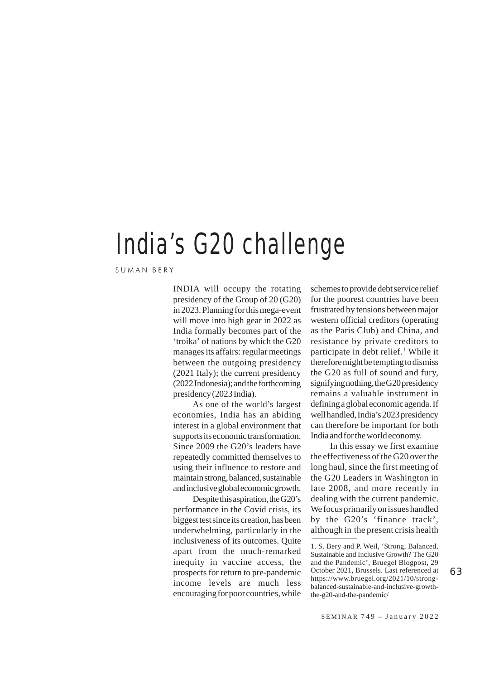## India's G20 challenge

SUMAN BERY

INDIA will occupy the rotating presidency of the Group of 20 (G20) in 2023. Planning for this mega-event will move into high gear in 2022 as India formally becomes part of the 'troika' of nations by which the G20 manages its affairs: regular meetings between the outgoing presidency (2021 Italy); the current presidency (2022 Indonesia); and the forthcoming presidency (2023 India).

As one of the world's largest economies, India has an abiding interest in a global environment that supports its economic transformation. Since 2009 the G20's leaders have repeatedly committed themselves to using their influence to restore and maintain strong, balanced, sustainable and inclusive global economic growth.

Despite this aspiration, the G20's performance in the Covid crisis, its biggest test since its creation, has been underwhelming, particularly in the inclusiveness of its outcomes. Quite apart from the much-remarked inequity in vaccine access, the prospects for return to pre-pandemic income levels are much less encouraging for poor countries, while schemes to provide debt service relief for the poorest countries have been frustrated by tensions between major western official creditors (operating as the Paris Club) and China, and resistance by private creditors to participate in debt relief. $<sup>1</sup>$  While it</sup> therefore might be tempting to dismiss the G20 as full of sound and fury, signifying nothing, the G20 presidency remains a valuable instrument in defining a global economic agenda. If well handled, India's 2023 presidency can therefore be important for both India and for the world economy.

In this essay we first examine the effectiveness of the G20 over the long haul, since the first meeting of the G20 Leaders in Washington in late 2008, and more recently in dealing with the current pandemic. We focus primarily on issues handled by the G20's 'finance track', although in the present crisis health

<sup>1.</sup> S. Bery and P. Weil, 'Strong, Balanced, Sustainable and Inclusive Growth? The G20 and the Pandemic', Bruegel Blogpost, 29 October 2021, Brussels. Last referenced at https://www.bruegel.org/2021/10/strongbalanced-sustainable-and-inclusive-growththe-g20-and-the-pandemic/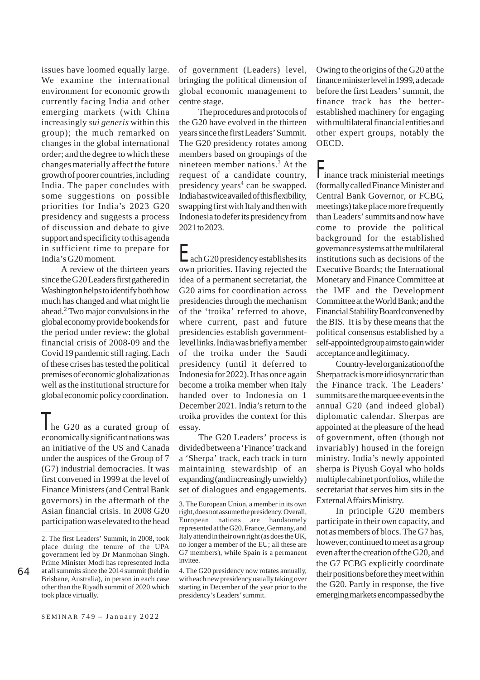issues have loomed equally large. We examine the international environment for economic growth currently facing India and other emerging markets (with China increasingly *sui generis* within this group); the much remarked on changes in the global international order; and the degree to which these changes materially affect the future growth of poorer countries, including India. The paper concludes with some suggestions on possible priorities for India's 2023 G20 presidency and suggests a process of discussion and debate to give support and specificity to this agenda in sufficient time to prepare for India's G20 moment.

A review of the thirteen years since the G20 Leaders first gathered in Washington helps to identify both how much has changed and what might lie ahead.2 Two major convulsions in the global economy provide bookends for the period under review: the global financial crisis of 2008-09 and the Covid 19 pandemic still raging. Each of these crises has tested the political premises of economic globalization as well as the institutional structure for global economic policy coordination.

The G20 as a curated group of economically significant nations was an initiative of the US and Canada under the auspices of the Group of 7 (G7) industrial democracies. It was first convened in 1999 at the level of Finance Ministers (and Central Bank governors) in the aftermath of the Asian financial crisis. In 2008 G20 participation was elevated to the head of government (Leaders) level, bringing the political dimension of global economic management to centre stage.

The procedures and protocols of the G20 have evolved in the thirteen years since the first Leaders' Summit. The G20 presidency rotates among members based on groupings of the nineteen member nations.3 At the request of a candidate country, presidency years<sup>4</sup> can be swapped. India has twice availed of this flexibility, swapping first with Italy and then with Indonesia to defer its presidency from 2021 to 2023.

Each G20 presidency establishes its own priorities. Having rejected the idea of a permanent secretariat, the G20 aims for coordination across presidencies through the mechanism of the 'troika' referred to above, where current, past and future presidencies establish governmentlevel links. India was briefly a member of the troika under the Saudi presidency (until it deferred to Indonesia for 2022). It has once again become a troika member when Italy handed over to Indonesia on 1 December 2021. India's return to the troika provides the context for this essay.

The G20 Leaders' process is divided between a 'Finance' track and a 'Sherpa' track, each track in turn maintaining stewardship of an expanding (and increasingly unwieldy) set of dialogues and engagements.

4. The G20 presidency now rotates annually, with each new presidency usually taking over starting in December of the year prior to the presidency's Leaders' summit.

Owing to the origins of the G20 at the finance minister level in 1999, a decade before the first Leaders' summit, the finance track has the betterestablished machinery for engaging with multilateral financial entities and other expert groups, notably the OECD.

Finance track ministerial meetings (formally called Finance Minister and Central Bank Governor, or FCBG, meetings) take place more frequently than Leaders' summits and now have come to provide the political background for the established governance systems at the multilateral institutions such as decisions of the Executive Boards; the International Monetary and Finance Committee at the IMF and the Development Committee at the World Bank; and the Financial Stability Board convened by the BIS. It is by these means that the political consensus established by a self-appointed group aims to gain wider acceptance and legitimacy.

Country-level organization of the Sherpa track is more idiosyncratic than the Finance track. The Leaders' summits are the marquee events in the annual G20 (and indeed global) diplomatic calendar. Sherpas are appointed at the pleasure of the head of government, often (though not invariably) housed in the foreign ministry. India's newly appointed sherpa is Piyush Goyal who holds multiple cabinet portfolios, while the secretariat that serves him sits in the External Affairs Ministry.

In principle G20 members participate in their own capacity, and not as members of blocs. The G7 has, however, continued to meet as a group even after the creation of the G20, and the G7 FCBG explicitly coordinate their positions before they meet within the G20. Partly in response, the five emerging markets encompassed by the

<sup>2.</sup> The first Leaders' Summit, in 2008, took place during the tenure of the UPA government led by Dr Manmohan Singh. Prime Minister Modi has represented India at all summits since the 2014 summit (held in Brisbane, Australia), in person in each case other than the Riyadh summit of 2020 which took place virtually.

<sup>3.</sup> The European Union, a member in its own right, does not assume the presidency. Overall, European nations are handsomely represented at the G20. France, Germany, and Italy attend in their own right (as does the UK, no longer a member of the EU; all these are G7 members), while Spain is a permanent invitee.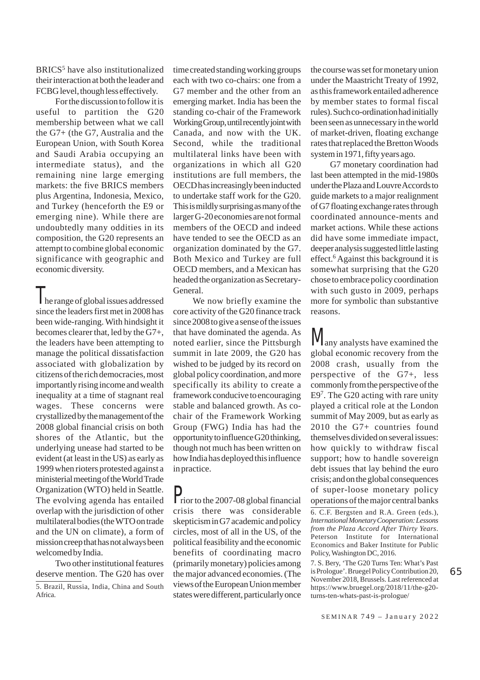BRICS<sup>5</sup> have also institutionalized their interaction at both the leader and FCBG level, though less effectively.

For the discussion to follow it is useful to partition the G20 membership between what we call the G7+ (the G7, Australia and the European Union, with South Korea and Saudi Arabia occupying an intermediate status), and the remaining nine large emerging markets: the five BRICS members plus Argentina, Indonesia, Mexico, and Turkey (henceforth the E9 or emerging nine). While there are undoubtedly many oddities in its composition, the G20 represents an attempt to combine global economic significance with geographic and economic diversity.

The range of global issues addressed since the leaders first met in 2008 has been wide-ranging. With hindsight it becomes clearer that, led by the G7+, the leaders have been attempting to manage the political dissatisfaction associated with globalization by citizens of the rich democracies, most importantly rising income and wealth inequality at a time of stagnant real wages. These concerns were crystallized by the management of the 2008 global financial crisis on both shores of the Atlantic, but the underlying unease had started to be evident (at least in the US) as early as 1999 when rioters protested against a ministerial meeting of the World Trade Organization (WTO) held in Seattle. The evolving agenda has entailed overlap with the jurisdiction of other multilateral bodies (the WTO on trade and the UN on climate), a form of mission creep that has not always been welcomed by India.

Two other institutional features deserve mention. The G20 has over

5. Brazil, Russia, India, China and South Africa.

time created standing working groups each with two co-chairs: one from a G7 member and the other from an emerging market. India has been the standing co-chair of the Framework Working Group, until recently joint with Canada, and now with the UK. Second, while the traditional multilateral links have been with organizations in which all G20 institutions are full members, the OECD has increasingly been inducted to undertake staff work for the G20. This is mildly surprising as many of the larger G-20 economies are not formal members of the OECD and indeed have tended to see the OECD as an organization dominated by the G7. Both Mexico and Turkey are full OECD members, and a Mexican has headed the organization as Secretary-General.

We now briefly examine the core activity of the G20 finance track since 2008 to give a sense of the issues that have dominated the agenda. As noted earlier, since the Pittsburgh summit in late 2009, the G20 has wished to be judged by its record on global policy coordination, and more specifically its ability to create a framework conducive to encouraging stable and balanced growth. As cochair of the Framework Working Group (FWG) India has had the opportunity to influence G20 thinking, though not much has been written on how India has deployed this influence in practice.

Prior to the 2007-08 global financial crisis there was considerable skepticism in G7 academic and policy circles, most of all in the US, of the political feasibility and the economic benefits of coordinating macro (primarily monetary) policies among the major advanced economies. (The views of the European Union member states were different, particularly once

the course was set for monetary union under the Maastricht Treaty of 1992, as this framework entailed adherence by member states to formal fiscal rules). Such co-ordination had initially been seen as unnecessary in the world of market-driven, floating exchange rates that replaced the Bretton Woods system in 1971, fifty years ago.

G7 monetary coordination had last been attempted in the mid-1980s under the Plaza and Louvre Accords to guide markets to a major realignment of G7 floating exchange rates through coordinated announce-ments and market actions. While these actions did have some immediate impact, deeper analysis suggested little lasting effect.6 Against this background it is somewhat surprising that the G20 chose to embrace policy coordination with such gusto in 2009, perhaps more for symbolic than substantive reasons.

**any analysts have examined the** global economic recovery from the 2008 crash, usually from the perspective of the G7+, less commonly from the perspective of the E97. The G20 acting with rare unity played a critical role at the London summit of May 2009, but as early as 2010 the G7+ countries found themselves divided on several issues: how quickly to withdraw fiscal support; how to handle sovereign debt issues that lay behind the euro crisis; and on the global consequences of super-loose monetary policy operations of the major central banks

6. C.F. Bergsten and R.A. Green (eds.), *International Monetary Cooperation: Lessons from the Plaza Accord After Thirty Years*. Peterson Institute for International Economics and Baker Institute for Public Policy, Washington DC, 2016.

7. S. Bery, 'The G20 Turns Ten: What's Past is Prologue'. Bruegel Policy Contribution 20, November 2018, Brussels. Last referenced at https://www.bruegel.org/2018/11/the-g20 turns-ten-whats-past-is-prologue/

65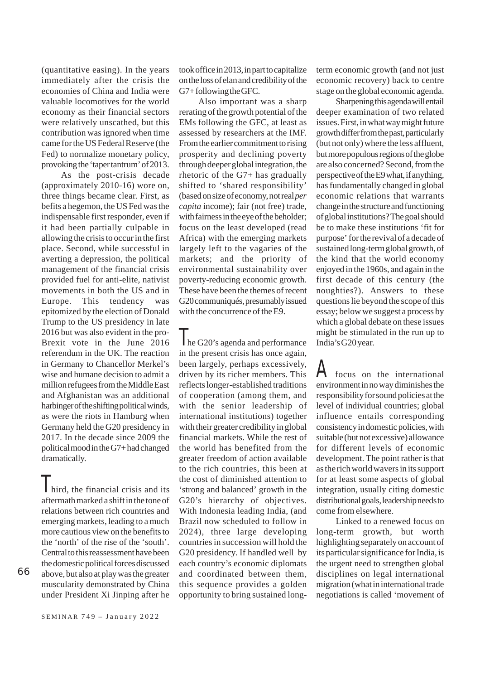(quantitative easing). In the years immediately after the crisis the economies of China and India were valuable locomotives for the world economy as their financial sectors were relatively unscathed, but this contribution was ignored when time came for the US Federal Reserve (the Fed) to normalize monetary policy, provoking the 'taper tantrum' of 2013.

As the post-crisis decade (approximately 2010-16) wore on, three things became clear. First, as befits a hegemon, the US Fed was the indispensable first responder, even if it had been partially culpable in allowing the crisis to occur in the first place. Second, while successful in averting a depression, the political management of the financial crisis provided fuel for anti-elite, nativist movements in both the US and in Europe. This tendency was epitomized by the election of Donald Trump to the US presidency in late 2016 but was also evident in the pro-Brexit vote in the June 2016 referendum in the UK. The reaction in Germany to Chancellor Merkel's wise and humane decision to admit a million refugees from the Middle East and Afghanistan was an additional harbinger of the shifting political winds, as were the riots in Hamburg when Germany held the G20 presidency in 2017. In the decade since 2009 the political mood in the G7+ had changed dramatically.

I hird, the financial crisis and its aftermath marked a shift in the tone of relations between rich countries and emerging markets, leading to a much more cautious view on the benefits to the 'north' of the rise of the 'south'. Central to this reassessment have been the domestic political forces discussed above, but also at play was the greater muscularity demonstrated by China under President Xi Jinping after he

G7+ following the GFC. Also important was a sharp

rerating of the growth potential of the EMs following the GFC, at least as assessed by researchers at the IMF. From the earlier commitment to rising prosperity and declining poverty through deeper global integration, the rhetoric of the G7+ has gradually shifted to 'shared responsibility' (based on size of economy, not real *per capita* income); fair (not free) trade, with fairness in the eye of the beholder; focus on the least developed (read Africa) with the emerging markets largely left to the vagaries of the markets; and the priority of environmental sustainability over poverty-reducing economic growth. These have been the themes of recent G20 communiqués, presumably issued with the concurrence of the E9.

took office in 2013, in part to capitalize on the loss of elan and credibility of the

The G20's agenda and performance in the present crisis has once again, been largely, perhaps excessively, driven by its richer members. This reflects longer-established traditions of cooperation (among them, and with the senior leadership of international institutions) together with their greater credibility in global financial markets. While the rest of the world has benefited from the greater freedom of action available to the rich countries, this been at the cost of diminished attention to 'strong and balanced' growth in the G20's hierarchy of objectives. With Indonesia leading India, (and Brazil now scheduled to follow in 2024), three large developing countries in succession will hold the G20 presidency. If handled well by each country's economic diplomats and coordinated between them, this sequence provides a golden opportunity to bring sustained long-

term economic growth (and not just economic recovery) back to centre stage on the global economic agenda.

Sharpening this agenda will entail deeper examination of two related issues. First, in what way might future growth differ from the past, particularly (but not only) where the less affluent, but more populous regions of the globe are also concerned? Second, from the perspective of the E9 what, if anything, has fundamentally changed in global economic relations that warrants change in the structure and functioning of global institutions? The goal should be to make these institutions 'fit for purpose' for the revival of a decade of sustained long-term global growth, of the kind that the world economy enjoyed in the 1960s, and again in the first decade of this century (the noughties?). Answers to these questions lie beyond the scope of this essay; below we suggest a process by which a global debate on these issues might be stimulated in the run up to India's G20 year.

A focus on the international environment in no way diminishes the responsibility for sound policies at the level of individual countries; global influence entails corresponding consistency in domestic policies, with suitable (but not excessive) allowance for different levels of economic development. The point rather is that as the rich world wavers in its support for at least some aspects of global integration, usually citing domestic distributional goals, leadership needs to come from elsewhere.

Linked to a renewed focus on long-term growth, but worth highlighting separately on account of its particular significance for India, is the urgent need to strengthen global disciplines on legal international migration (what in international trade negotiations is called 'movement of

SEMINAR 749 – January 2022

66